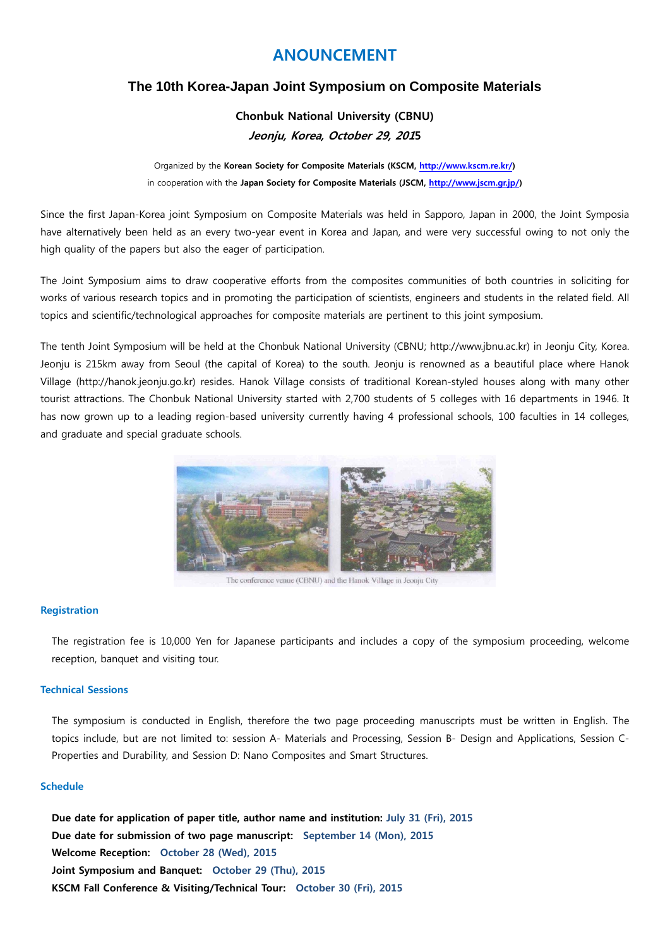# **ANOUNCEMENT**

## **The 10th Korea-Japan Joint Symposium on Composite Materials**

**Chonbuk National University (CBNU) Jeonju, Korea, October 29, 2015** 

Organized by the **Korean Society for Composite Materials (KSCM, http://www.kscm.re.kr/)**  in cooperation with the **Japan Society for Composite Materials (JSCM, http://www.jscm.gr.jp/)**

Since the first Japan-Korea joint Symposium on Composite Materials was held in Sapporo, Japan in 2000, the Joint Symposia have alternatively been held as an every two-year event in Korea and Japan, and were very successful owing to not only the high quality of the papers but also the eager of participation.

The Joint Symposium aims to draw cooperative efforts from the composites communities of both countries in soliciting for works of various research topics and in promoting the participation of scientists, engineers and students in the related field. All topics and scientific/technological approaches for composite materials are pertinent to this joint symposium.

The tenth Joint Symposium will be held at the Chonbuk National University (CBNU; http://www.jbnu.ac.kr) in Jeonju City, Korea. Jeonju is 215km away from Seoul (the capital of Korea) to the south. Jeonju is renowned as a beautiful place where Hanok Village (http://hanok.jeonju.go.kr) resides. Hanok Village consists of traditional Korean-styled houses along with many other tourist attractions. The Chonbuk National University started with 2,700 students of 5 colleges with 16 departments in 1946. It has now grown up to a leading region-based university currently having 4 professional schools, 100 faculties in 14 colleges, and graduate and special graduate schools.



The conference venue (CBNU) and the Hanok Village in Jeonju City

### **Registration**

The registration fee is 10,000 Yen for Japanese participants and includes a copy of the symposium proceeding, welcome reception, banquet and visiting tour.

#### **Technical Sessions**

The symposium is conducted in English, therefore the two page proceeding manuscripts must be written in English. The topics include, but are not limited to: session A- Materials and Processing, Session B- Design and Applications, Session C-Properties and Durability, and Session D: Nano Composites and Smart Structures.

#### **Schedule**

**Due date for application of paper title, author name and institution: July 31 (Fri), 2015 Due date for submission of two page manuscript: September 14 (Mon), 2015 Welcome Reception: October 28 (Wed), 2015 Joint Symposium and Banquet: October 29 (Thu), 2015 KSCM Fall Conference & Visiting/Technical Tour: October 30 (Fri), 2015**